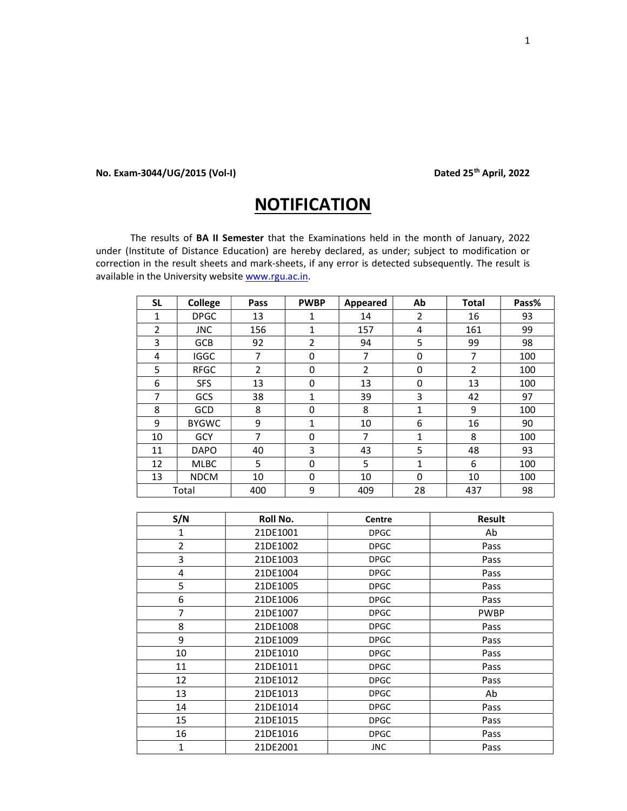## No. Exam-3044/UG/2015 (Vol-I) Dated 25<sup>th</sup> April, 2022

## **NOTIFICATION**

The results of BA II Semester that the Examinations held in the month of January, 2022 under (Institute of Distance Education) are hereby declared, as under; subject to modification or correction in the result sheets and mark-sheets, if any error is detected subsequently. The result is available in the University website www.rgu.ac.in.

| <b>SL</b>      | College      | Pass           | <b>PWBP</b> | Appeared       | Ab | <b>Total</b> | Pass% |
|----------------|--------------|----------------|-------------|----------------|----|--------------|-------|
| 1              | <b>DPGC</b>  | 13             | 1           | 14             | 2  | 16           | 93    |
| $\overline{2}$ | <b>JNC</b>   | 156            | 1           | 157            | 4  | 161          | 99    |
| 3              | <b>GCB</b>   | 92             | 2           | 94             | 5  | 99           | 98    |
| 4              | <b>IGGC</b>  | 7              | 0           | 7              | 0  | 7            | 100   |
| 5              | <b>RFGC</b>  | $\overline{2}$ | 0           | $\overline{2}$ | 0  | 2            | 100   |
| 6              | <b>SFS</b>   | 13             | 0           | 13             | 0  | 13           | 100   |
| 7              | GCS          | 38             | 1           | 39             | 3  | 42           | 97    |
| 8              | <b>GCD</b>   | 8              | 0           | 8              | 1  | 9            | 100   |
| 9              | <b>BYGWC</b> | 9              | 1           | 10             | 6  | 16           | 90    |
| 10             | <b>GCY</b>   | 7              | 0           | 7              | 1  | 8            | 100   |
| 11             | <b>DAPO</b>  | 40             | 3           | 43             | 5  | 48           | 93    |
| 12             | <b>MLBC</b>  | 5              | 0           | 5              | 1  | 6            | 100   |
| 13             | <b>NDCM</b>  | 10             | 0           | 10             | 0  | 10           | 100   |
|                | Total        | 400            | 9           | 409            | 28 | 437          | 98    |

| S/N            | Roll No. | Centre      | <b>Result</b> |
|----------------|----------|-------------|---------------|
| 1              | 21DE1001 | <b>DPGC</b> | Ab            |
| $\overline{2}$ | 21DE1002 | <b>DPGC</b> | Pass          |
| 3              | 21DE1003 | <b>DPGC</b> | Pass          |
| 4              | 21DE1004 | <b>DPGC</b> | Pass          |
| 5              | 21DE1005 | <b>DPGC</b> | Pass          |
| 6              | 21DE1006 | <b>DPGC</b> | Pass          |
| 7              | 21DE1007 | <b>DPGC</b> | <b>PWBP</b>   |
| 8              | 21DE1008 | <b>DPGC</b> | Pass          |
| 9              | 21DE1009 | <b>DPGC</b> | Pass          |
| 10             | 21DE1010 | <b>DPGC</b> | Pass          |
| 11             | 21DE1011 | <b>DPGC</b> | Pass          |
| 12             | 21DE1012 | <b>DPGC</b> | Pass          |
| 13             | 21DE1013 | <b>DPGC</b> | Ab            |
| 14             | 21DE1014 | <b>DPGC</b> | Pass          |
| 15             | 21DE1015 | <b>DPGC</b> | Pass          |
| 16             | 21DE1016 | <b>DPGC</b> | Pass          |
| 1              | 21DE2001 | <b>JNC</b>  | Pass          |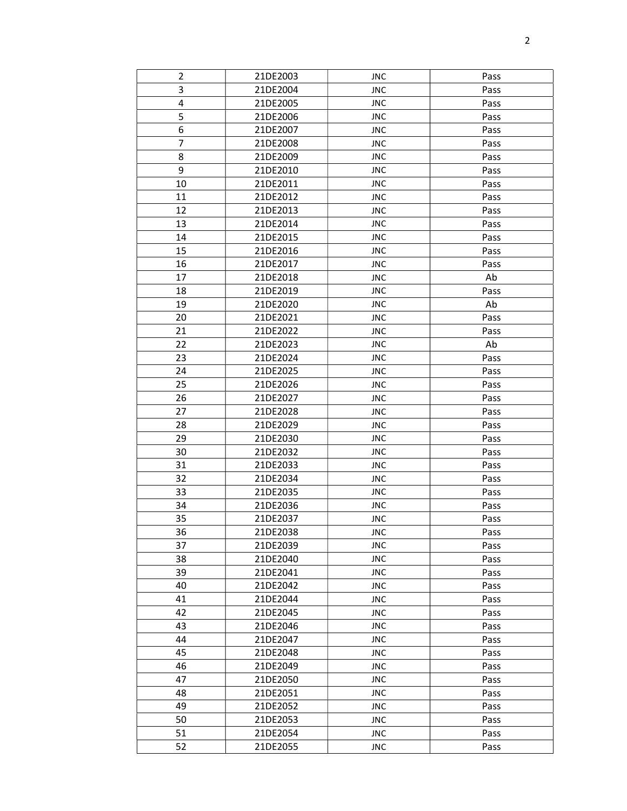| $\overline{2}$          | 21DE2003 | <b>JNC</b> | Pass |
|-------------------------|----------|------------|------|
| 3                       | 21DE2004 | <b>JNC</b> | Pass |
| $\overline{\mathbf{4}}$ | 21DE2005 | <b>JNC</b> | Pass |
| 5                       | 21DE2006 | <b>JNC</b> | Pass |
| 6                       | 21DE2007 | <b>JNC</b> | Pass |
| 7                       | 21DE2008 | <b>JNC</b> | Pass |
| 8                       | 21DE2009 | <b>JNC</b> | Pass |
| 9                       | 21DE2010 | <b>JNC</b> | Pass |
| 10                      | 21DE2011 | <b>JNC</b> | Pass |
| 11                      | 21DE2012 | <b>JNC</b> | Pass |
| 12                      | 21DE2013 | <b>JNC</b> | Pass |
| 13                      | 21DE2014 | <b>JNC</b> | Pass |
| 14                      | 21DE2015 | <b>JNC</b> | Pass |
| 15                      | 21DE2016 | <b>JNC</b> | Pass |
| 16                      | 21DE2017 | <b>JNC</b> | Pass |
| 17                      | 21DE2018 | <b>JNC</b> | Ab   |
| 18                      | 21DE2019 | <b>JNC</b> | Pass |
| 19                      | 21DE2020 | <b>JNC</b> | Ab   |
| 20                      | 21DE2021 | <b>JNC</b> | Pass |
| 21                      | 21DE2022 | <b>JNC</b> | Pass |
| 22                      | 21DE2023 | <b>JNC</b> | Ab   |
| 23                      | 21DE2024 | <b>JNC</b> | Pass |
| 24                      | 21DE2025 | <b>JNC</b> | Pass |
| 25                      | 21DE2026 | <b>JNC</b> | Pass |
| 26                      | 21DE2027 | <b>JNC</b> | Pass |
| 27                      | 21DE2028 | <b>JNC</b> | Pass |
| 28                      | 21DE2029 | <b>JNC</b> | Pass |
| 29                      | 21DE2030 | <b>JNC</b> | Pass |
| 30                      | 21DE2032 | <b>JNC</b> | Pass |
| 31                      | 21DE2033 | <b>JNC</b> | Pass |
| 32                      | 21DE2034 | <b>JNC</b> | Pass |
| 33                      | 21DE2035 | <b>JNC</b> | Pass |
| 34                      | 21DE2036 | <b>JNC</b> | Pass |
| 35                      | 21DE2037 | <b>JNC</b> | Pass |
| 36                      | 21DE2038 | <b>JNC</b> | Pass |
| 37                      | 21DE2039 | <b>JNC</b> | Pass |
| 38                      | 21DE2040 | <b>JNC</b> | Pass |
| 39                      | 21DE2041 | <b>JNC</b> | Pass |
| 40                      | 21DE2042 | <b>JNC</b> | Pass |
| 41                      | 21DE2044 | <b>JNC</b> | Pass |
| 42                      | 21DE2045 | <b>JNC</b> | Pass |
| 43                      | 21DE2046 | <b>JNC</b> | Pass |
| 44                      | 21DE2047 | <b>JNC</b> | Pass |
| 45                      | 21DE2048 | <b>JNC</b> | Pass |
| 46                      | 21DE2049 | <b>JNC</b> | Pass |
| 47                      | 21DE2050 | <b>JNC</b> | Pass |
| 48                      | 21DE2051 | <b>JNC</b> | Pass |
| 49                      | 21DE2052 | <b>JNC</b> | Pass |
| 50                      | 21DE2053 | <b>JNC</b> | Pass |
| 51                      | 21DE2054 | <b>JNC</b> | Pass |
| 52                      | 21DE2055 | <b>JNC</b> | Pass |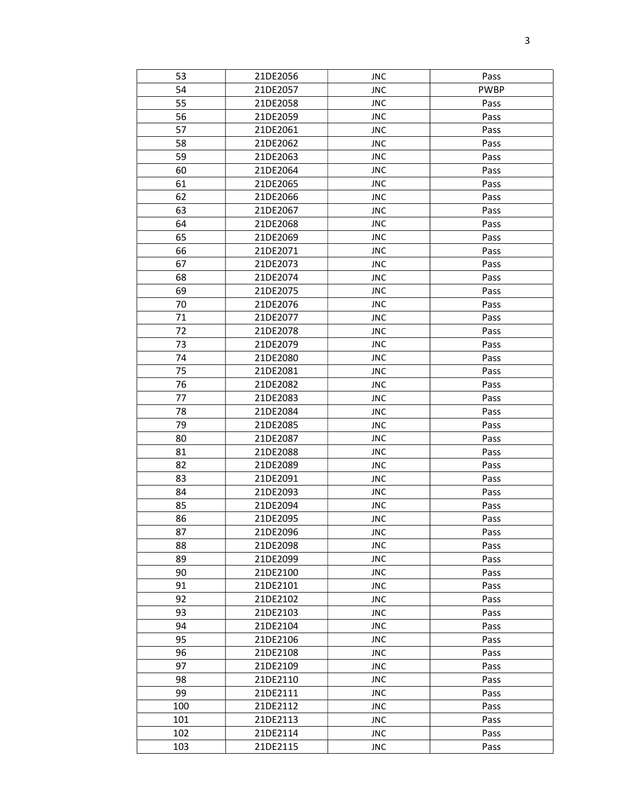| 53  | 21DE2056 | <b>JNC</b> | Pass        |
|-----|----------|------------|-------------|
| 54  | 21DE2057 | <b>JNC</b> | <b>PWBP</b> |
| 55  | 21DE2058 | <b>JNC</b> | Pass        |
| 56  | 21DE2059 | <b>JNC</b> | Pass        |
| 57  | 21DE2061 | <b>JNC</b> | Pass        |
| 58  | 21DE2062 | <b>JNC</b> | Pass        |
| 59  | 21DE2063 | <b>JNC</b> | Pass        |
| 60  | 21DE2064 | <b>JNC</b> | Pass        |
| 61  | 21DE2065 | <b>JNC</b> | Pass        |
| 62  | 21DE2066 | <b>JNC</b> | Pass        |
| 63  | 21DE2067 | <b>JNC</b> | Pass        |
| 64  | 21DE2068 | <b>JNC</b> | Pass        |
| 65  | 21DE2069 | <b>JNC</b> | Pass        |
| 66  | 21DE2071 | <b>JNC</b> | Pass        |
| 67  | 21DE2073 | <b>JNC</b> | Pass        |
| 68  | 21DE2074 | <b>JNC</b> | Pass        |
| 69  | 21DE2075 | <b>JNC</b> | Pass        |
| 70  | 21DE2076 | <b>JNC</b> | Pass        |
| 71  | 21DE2077 | <b>JNC</b> | Pass        |
| 72  | 21DE2078 | <b>JNC</b> | Pass        |
| 73  | 21DE2079 | <b>JNC</b> | Pass        |
| 74  | 21DE2080 | <b>JNC</b> | Pass        |
| 75  | 21DE2081 | <b>JNC</b> | Pass        |
| 76  | 21DE2082 | <b>JNC</b> | Pass        |
| 77  | 21DE2083 | <b>JNC</b> | Pass        |
| 78  | 21DE2084 | <b>JNC</b> | Pass        |
| 79  | 21DE2085 | <b>JNC</b> | Pass        |
| 80  | 21DE2087 | <b>JNC</b> | Pass        |
| 81  | 21DE2088 | <b>JNC</b> | Pass        |
| 82  | 21DE2089 | <b>JNC</b> | Pass        |
| 83  | 21DE2091 | <b>JNC</b> | Pass        |
| 84  | 21DE2093 | <b>JNC</b> | Pass        |
| 85  | 21DE2094 | <b>JNC</b> | Pass        |
| 86  | 21DE2095 | <b>JNC</b> | Pass        |
| 87  | 21DE2096 | <b>JNC</b> | Pass        |
| 88  | 21DE2098 | <b>JNC</b> | Pass        |
| 89  | 21DE2099 | <b>JNC</b> | Pass        |
| 90  | 21DE2100 | <b>JNC</b> | Pass        |
| 91  | 21DE2101 | <b>JNC</b> | Pass        |
| 92  | 21DE2102 | <b>JNC</b> | Pass        |
| 93  | 21DE2103 | <b>JNC</b> | Pass        |
| 94  | 21DE2104 | <b>JNC</b> | Pass        |
| 95  | 21DE2106 | <b>JNC</b> | Pass        |
| 96  | 21DE2108 | <b>JNC</b> | Pass        |
| 97  | 21DE2109 | <b>JNC</b> | Pass        |
| 98  | 21DE2110 | <b>JNC</b> | Pass        |
| 99  | 21DE2111 | <b>JNC</b> | Pass        |
| 100 | 21DE2112 | <b>JNC</b> | Pass        |
| 101 | 21DE2113 | <b>JNC</b> | Pass        |
| 102 | 21DE2114 | <b>JNC</b> | Pass        |
| 103 | 21DE2115 | <b>JNC</b> | Pass        |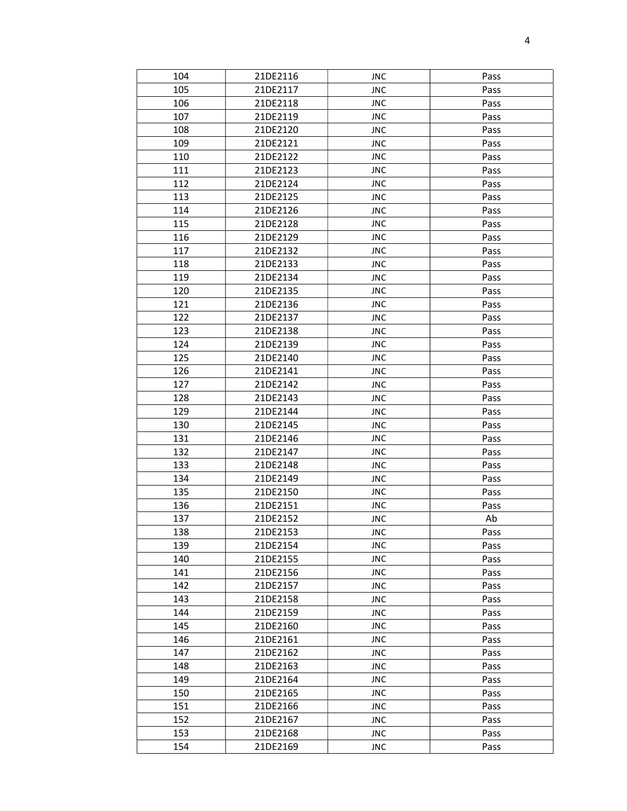| 104 | 21DE2116 | <b>JNC</b> | Pass |
|-----|----------|------------|------|
| 105 | 21DE2117 | <b>JNC</b> | Pass |
| 106 | 21DE2118 | <b>JNC</b> | Pass |
| 107 | 21DE2119 | <b>JNC</b> | Pass |
| 108 | 21DE2120 | <b>JNC</b> | Pass |
| 109 | 21DE2121 | <b>JNC</b> | Pass |
| 110 | 21DE2122 | <b>JNC</b> | Pass |
| 111 | 21DE2123 | <b>JNC</b> | Pass |
| 112 | 21DE2124 | <b>JNC</b> | Pass |
| 113 | 21DE2125 | <b>JNC</b> | Pass |
| 114 | 21DE2126 | <b>JNC</b> | Pass |
| 115 | 21DE2128 | <b>JNC</b> | Pass |
| 116 | 21DE2129 | <b>JNC</b> | Pass |
| 117 | 21DE2132 | <b>JNC</b> | Pass |
| 118 | 21DE2133 | <b>JNC</b> | Pass |
| 119 | 21DE2134 | <b>JNC</b> | Pass |
| 120 | 21DE2135 | <b>JNC</b> | Pass |
| 121 | 21DE2136 | <b>JNC</b> | Pass |
| 122 | 21DE2137 | <b>JNC</b> | Pass |
| 123 | 21DE2138 | <b>JNC</b> | Pass |
| 124 | 21DE2139 | <b>JNC</b> | Pass |
| 125 | 21DE2140 | <b>JNC</b> | Pass |
| 126 | 21DE2141 | <b>JNC</b> | Pass |
| 127 | 21DE2142 | <b>JNC</b> | Pass |
| 128 | 21DE2143 | <b>JNC</b> | Pass |
| 129 | 21DE2144 | <b>JNC</b> | Pass |
| 130 | 21DE2145 | <b>JNC</b> | Pass |
| 131 | 21DE2146 | <b>JNC</b> | Pass |
| 132 | 21DE2147 | <b>JNC</b> | Pass |
| 133 | 21DE2148 | <b>JNC</b> | Pass |
| 134 | 21DE2149 | <b>JNC</b> | Pass |
| 135 | 21DE2150 | <b>JNC</b> | Pass |
| 136 | 21DE2151 | <b>JNC</b> | Pass |
| 137 | 21DE2152 | <b>JNC</b> | Ab   |
| 138 | 21DE2153 | <b>JNC</b> | Pass |
| 139 | 21DE2154 | <b>JNC</b> | Pass |
| 140 | 21DE2155 | <b>JNC</b> | Pass |
| 141 | 21DE2156 | <b>JNC</b> | Pass |
| 142 | 21DE2157 | <b>JNC</b> | Pass |
| 143 | 21DE2158 | <b>JNC</b> | Pass |
| 144 | 21DE2159 | <b>JNC</b> | Pass |
| 145 | 21DE2160 | <b>JNC</b> | Pass |
| 146 | 21DE2161 | <b>JNC</b> | Pass |
| 147 | 21DE2162 | <b>JNC</b> | Pass |
| 148 | 21DE2163 | <b>JNC</b> | Pass |
| 149 | 21DE2164 | <b>JNC</b> | Pass |
| 150 | 21DE2165 | <b>JNC</b> | Pass |
| 151 | 21DE2166 | <b>JNC</b> | Pass |
| 152 | 21DE2167 | <b>JNC</b> | Pass |
| 153 | 21DE2168 | <b>JNC</b> | Pass |
| 154 | 21DE2169 | <b>JNC</b> | Pass |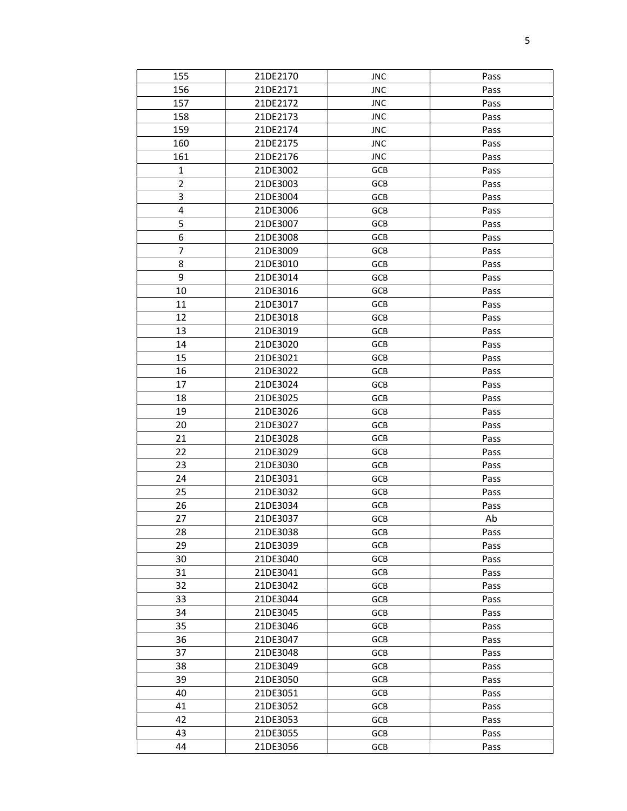| 155                     | 21DE2170 | <b>JNC</b> | Pass |
|-------------------------|----------|------------|------|
| 156                     | 21DE2171 | <b>JNC</b> | Pass |
| 157                     | 21DE2172 | <b>JNC</b> | Pass |
| 158                     | 21DE2173 | <b>JNC</b> | Pass |
| 159                     | 21DE2174 | <b>JNC</b> | Pass |
| 160                     | 21DE2175 | <b>JNC</b> | Pass |
| 161                     | 21DE2176 | <b>JNC</b> | Pass |
| $\mathbf{1}$            | 21DE3002 | GCB        | Pass |
| $\overline{2}$          | 21DE3003 | GCB        | Pass |
| 3                       | 21DE3004 | GCB        | Pass |
| $\overline{\mathbf{4}}$ | 21DE3006 | GCB        | Pass |
| 5                       |          | GCB        |      |
| 6                       | 21DE3007 | GCB        | Pass |
|                         | 21DE3008 |            | Pass |
| $\overline{7}$          | 21DE3009 | GCB        | Pass |
| 8                       | 21DE3010 | GCB        | Pass |
| 9                       | 21DE3014 | <b>GCB</b> | Pass |
| 10                      | 21DE3016 | GCB        | Pass |
| 11                      | 21DE3017 | GCB        | Pass |
| 12                      | 21DE3018 | GCB        | Pass |
| 13                      | 21DE3019 | GCB        | Pass |
| 14                      | 21DE3020 | GCB        | Pass |
| 15                      | 21DE3021 | GCB        | Pass |
| 16                      | 21DE3022 | GCB        | Pass |
| 17                      | 21DE3024 | GCB        | Pass |
| 18                      | 21DE3025 | GCB        | Pass |
| 19                      | 21DE3026 | GCB        | Pass |
| 20                      | 21DE3027 | <b>GCB</b> | Pass |
| 21                      | 21DE3028 | GCB        | Pass |
| 22                      | 21DE3029 | GCB        | Pass |
| 23                      | 21DE3030 | GCB        | Pass |
| 24                      | 21DE3031 | GCB        | Pass |
| 25                      | 21DE3032 | GCB        | Pass |
| 26                      | 21DE3034 | GCB        | Pass |
| 27                      | 21DE3037 | <b>GCB</b> | Ab   |
| 28                      | 21DE3038 | GCB        | Pass |
| 29                      | 21DE3039 | GCB        | Pass |
| 30                      | 21DE3040 | <b>GCB</b> | Pass |
| 31                      | 21DE3041 | <b>GCB</b> | Pass |
| 32                      | 21DE3042 | GCB        | Pass |
| 33                      | 21DE3044 | GCB        | Pass |
| 34                      | 21DE3045 | GCB        | Pass |
| 35                      | 21DE3046 | GCB        | Pass |
| 36                      | 21DE3047 | <b>GCB</b> | Pass |
| 37                      | 21DE3048 | GCB        | Pass |
| 38                      | 21DE3049 | GCB        | Pass |
| 39                      | 21DE3050 | GCB        | Pass |
| 40                      | 21DE3051 | GCB        | Pass |
| 41                      | 21DE3052 | GCB        |      |
| 42                      | 21DE3053 | <b>GCB</b> | Pass |
| 43                      |          |            | Pass |
|                         | 21DE3055 | GCB        | Pass |
| 44                      | 21DE3056 | GCB        | Pass |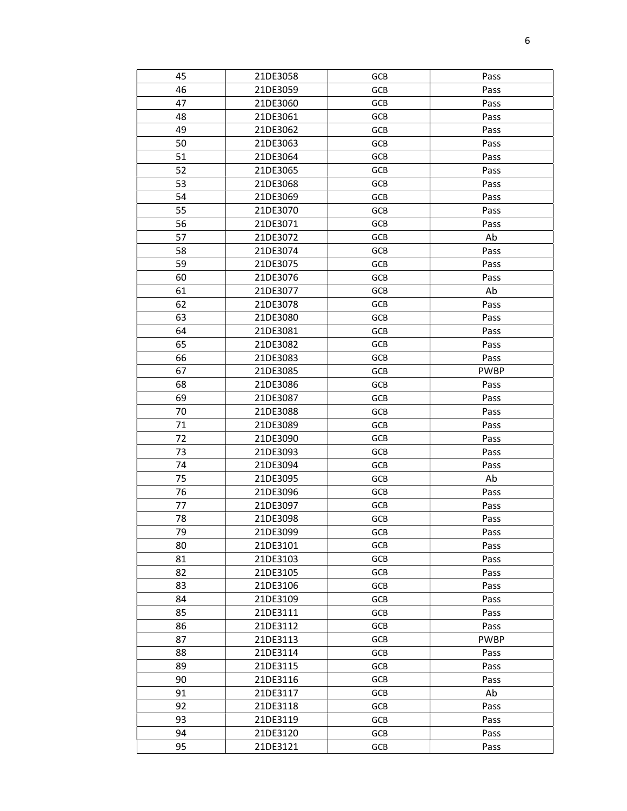| 45 | 21DE3058 | GCB        | Pass        |
|----|----------|------------|-------------|
| 46 | 21DE3059 | GCB        | Pass        |
| 47 | 21DE3060 | GCB        | Pass        |
| 48 | 21DE3061 | GCB        | Pass        |
| 49 | 21DE3062 | GCB        | Pass        |
| 50 | 21DE3063 | GCB        | Pass        |
| 51 | 21DE3064 | GCB        | Pass        |
| 52 | 21DE3065 | GCB        | Pass        |
| 53 | 21DE3068 | GCB        | Pass        |
| 54 | 21DE3069 | GCB        | Pass        |
| 55 | 21DE3070 | GCB        | Pass        |
| 56 | 21DE3071 | GCB        | Pass        |
| 57 | 21DE3072 | GCB        | Ab          |
| 58 | 21DE3074 | GCB        | Pass        |
| 59 | 21DE3075 | GCB        | Pass        |
| 60 | 21DE3076 | GCB        | Pass        |
| 61 | 21DE3077 | GCB        | Ab          |
| 62 | 21DE3078 | GCB        | Pass        |
| 63 | 21DE3080 | GCB        | Pass        |
| 64 | 21DE3081 | GCB        | Pass        |
| 65 | 21DE3082 | GCB        | Pass        |
| 66 | 21DE3083 | GCB        | Pass        |
| 67 | 21DE3085 | GCB        | <b>PWBP</b> |
| 68 | 21DE3086 | GCB        | Pass        |
| 69 | 21DE3087 | GCB        | Pass        |
| 70 | 21DE3088 | GCB        | Pass        |
| 71 | 21DE3089 | GCB        | Pass        |
| 72 | 21DE3090 | GCB        | Pass        |
| 73 | 21DE3093 | GCB        | Pass        |
| 74 | 21DE3094 | GCB        | Pass        |
| 75 | 21DE3095 | GCB        | Ab          |
| 76 | 21DE3096 | GCB        | Pass        |
| 77 | 21DE3097 | GCB        | Pass        |
| 78 | 21DE3098 | GCB        | Pass        |
| 79 | 21DE3099 | GCB        | Pass        |
| 80 | 21DE3101 | GCB        | Pass        |
| 81 | 21DE3103 | <b>GCB</b> | Pass        |
| 82 | 21DE3105 | GCB        | Pass        |
| 83 | 21DE3106 | GCB        | Pass        |
| 84 | 21DE3109 | GCB        | Pass        |
| 85 | 21DE3111 | GCB        | Pass        |
| 86 | 21DE3112 | GCB        | Pass        |
| 87 | 21DE3113 | <b>GCB</b> | <b>PWBP</b> |
| 88 | 21DE3114 | GCB        | Pass        |
| 89 | 21DE3115 | GCB        | Pass        |
| 90 | 21DE3116 | GCB        | Pass        |
| 91 | 21DE3117 | GCB        | Ab          |
| 92 | 21DE3118 | <b>GCB</b> | Pass        |
| 93 | 21DE3119 | GCB        | Pass        |
| 94 | 21DE3120 | GCB        | Pass        |
| 95 | 21DE3121 | GCB        | Pass        |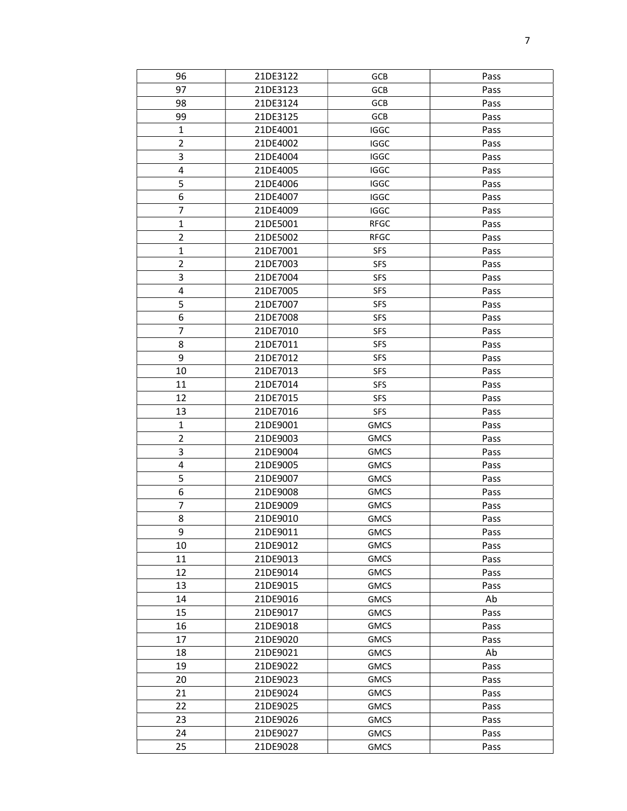| 96                      | 21DE3122 | <b>GCB</b>  | Pass |
|-------------------------|----------|-------------|------|
| 97                      | 21DE3123 | GCB         | Pass |
| 98                      | 21DE3124 | GCB         | Pass |
| 99                      | 21DE3125 | GCB         | Pass |
| $\mathbf{1}$            | 21DE4001 | <b>IGGC</b> | Pass |
| $\overline{2}$          | 21DE4002 | <b>IGGC</b> | Pass |
| 3                       | 21DE4004 | <b>IGGC</b> | Pass |
| $\overline{\mathbf{4}}$ | 21DE4005 | <b>IGGC</b> | Pass |
| 5                       | 21DE4006 | <b>IGGC</b> | Pass |
| 6                       | 21DE4007 | <b>IGGC</b> | Pass |
| $\overline{7}$          | 21DE4009 | <b>IGGC</b> | Pass |
| $\mathbf{1}$            | 21DE5001 | <b>RFGC</b> | Pass |
| $\overline{2}$          | 21DE5002 | <b>RFGC</b> | Pass |
| $\mathbf{1}$            | 21DE7001 | <b>SFS</b>  | Pass |
| $\overline{2}$          | 21DE7003 | <b>SFS</b>  | Pass |
| 3                       | 21DE7004 | <b>SFS</b>  | Pass |
| $\pmb{4}$               | 21DE7005 | <b>SFS</b>  | Pass |
| 5                       | 21DE7007 | <b>SFS</b>  | Pass |
| 6                       | 21DE7008 | <b>SFS</b>  | Pass |
| $\overline{7}$          | 21DE7010 | <b>SFS</b>  | Pass |
| 8                       | 21DE7011 | <b>SFS</b>  | Pass |
| 9                       | 21DE7012 | <b>SFS</b>  | Pass |
| 10                      | 21DE7013 | <b>SFS</b>  | Pass |
| 11                      | 21DE7014 | <b>SFS</b>  | Pass |
| 12                      | 21DE7015 | <b>SFS</b>  | Pass |
| 13                      | 21DE7016 | <b>SFS</b>  | Pass |
| $\mathbf{1}$            | 21DE9001 | <b>GMCS</b> | Pass |
| $\overline{2}$          | 21DE9003 | <b>GMCS</b> | Pass |
| 3                       | 21DE9004 | <b>GMCS</b> | Pass |
| 4                       | 21DE9005 | <b>GMCS</b> | Pass |
| 5                       | 21DE9007 | <b>GMCS</b> | Pass |
| 6                       | 21DE9008 | <b>GMCS</b> | Pass |
| $\overline{7}$          | 21DE9009 | <b>GMCS</b> | Pass |
| 8                       | 21DE9010 | <b>GMCS</b> | Pass |
| 9                       | 21DE9011 | <b>GMCS</b> | Pass |
| 10                      | 21DE9012 | <b>GMCS</b> | Pass |
| 11                      | 21DE9013 | <b>GMCS</b> | Pass |
| 12                      | 21DE9014 | <b>GMCS</b> | Pass |
| 13                      | 21DE9015 | <b>GMCS</b> | Pass |
| 14                      | 21DE9016 | <b>GMCS</b> | Ab   |
| 15                      | 21DE9017 | <b>GMCS</b> | Pass |
| 16                      | 21DE9018 | <b>GMCS</b> | Pass |
| 17                      | 21DE9020 | <b>GMCS</b> | Pass |
| 18                      | 21DE9021 | <b>GMCS</b> | Ab   |
| 19                      | 21DE9022 | <b>GMCS</b> | Pass |
| 20                      | 21DE9023 | <b>GMCS</b> | Pass |
| 21                      | 21DE9024 | <b>GMCS</b> | Pass |
| 22                      | 21DE9025 | <b>GMCS</b> | Pass |
| 23                      | 21DE9026 | <b>GMCS</b> | Pass |
| 24                      | 21DE9027 | <b>GMCS</b> | Pass |
| 25                      | 21DE9028 | <b>GMCS</b> | Pass |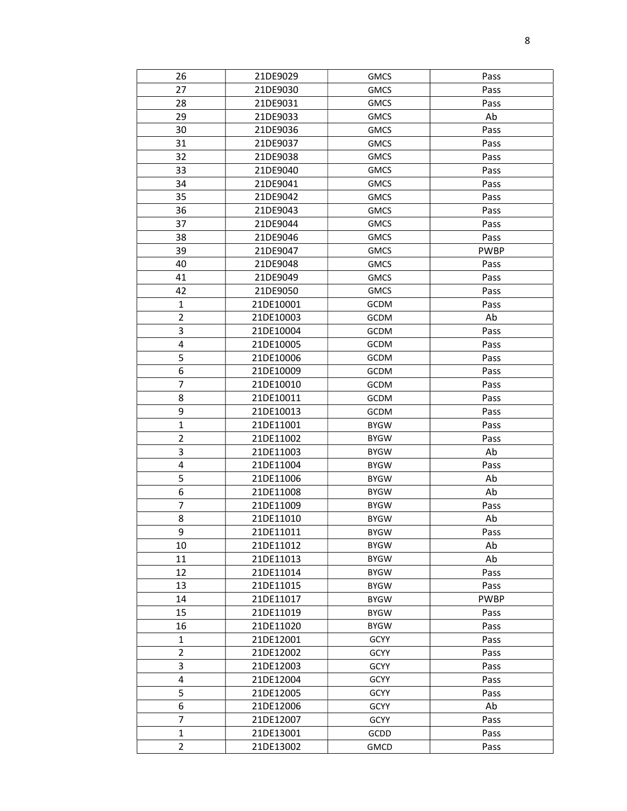| 26                      | 21DE9029  | <b>GMCS</b> | Pass        |
|-------------------------|-----------|-------------|-------------|
| 27                      | 21DE9030  | <b>GMCS</b> | Pass        |
| 28                      | 21DE9031  | <b>GMCS</b> | Pass        |
| 29                      | 21DE9033  | <b>GMCS</b> | Ab          |
| 30                      | 21DE9036  | <b>GMCS</b> | Pass        |
| 31                      | 21DE9037  | <b>GMCS</b> | Pass        |
| 32                      | 21DE9038  | <b>GMCS</b> | Pass        |
| 33                      | 21DE9040  | <b>GMCS</b> | Pass        |
| 34                      | 21DE9041  | <b>GMCS</b> | Pass        |
| 35                      | 21DE9042  | <b>GMCS</b> | Pass        |
| 36                      | 21DE9043  | <b>GMCS</b> | Pass        |
| 37                      | 21DE9044  | <b>GMCS</b> | Pass        |
| 38                      | 21DE9046  | <b>GMCS</b> | Pass        |
| 39                      | 21DE9047  | <b>GMCS</b> | <b>PWBP</b> |
| 40                      | 21DE9048  | <b>GMCS</b> | Pass        |
| 41                      | 21DE9049  | <b>GMCS</b> | Pass        |
| 42                      | 21DE9050  | <b>GMCS</b> | Pass        |
| $\mathbf{1}$            | 21DE10001 | GCDM        | Pass        |
| $\overline{2}$          | 21DE10003 | GCDM        | Ab          |
| 3                       | 21DE10004 | GCDM        | Pass        |
| 4                       | 21DE10005 | GCDM        | Pass        |
| 5                       | 21DE10006 | GCDM        | Pass        |
| $\boldsymbol{6}$        | 21DE10009 | GCDM        | Pass        |
| 7                       | 21DE10010 | GCDM        | Pass        |
| 8                       | 21DE10011 | GCDM        | Pass        |
| 9                       | 21DE10013 | GCDM        | Pass        |
| $\mathbf 1$             | 21DE11001 | <b>BYGW</b> | Pass        |
| $\overline{2}$          | 21DE11002 | <b>BYGW</b> | Pass        |
| 3                       | 21DE11003 | <b>BYGW</b> | Ab          |
| $\pmb{4}$               | 21DE11004 | <b>BYGW</b> | Pass        |
| 5                       | 21DE11006 | <b>BYGW</b> | Ab          |
| 6                       | 21DE11008 | <b>BYGW</b> | Ab          |
| $\overline{7}$          | 21DE11009 | <b>BYGW</b> | Pass        |
| 8                       | 21DE11010 | <b>BYGW</b> | Ab          |
| 9                       | 21DE11011 | <b>BYGW</b> | Pass        |
| 10                      | 21DE11012 | <b>BYGW</b> | Ab          |
| 11                      | 21DE11013 | <b>BYGW</b> | Ab          |
| 12                      | 21DE11014 | <b>BYGW</b> | Pass        |
| 13                      | 21DE11015 | <b>BYGW</b> | Pass        |
| 14                      | 21DE11017 | <b>BYGW</b> | <b>PWBP</b> |
| 15                      | 21DE11019 | <b>BYGW</b> | Pass        |
| 16                      | 21DE11020 | <b>BYGW</b> | Pass        |
| 1                       | 21DE12001 | <b>GCYY</b> | Pass        |
| $\overline{2}$          | 21DE12002 | <b>GCYY</b> | Pass        |
| 3                       | 21DE12003 | <b>GCYY</b> | Pass        |
| $\overline{\mathbf{4}}$ | 21DE12004 | GCYY        | Pass        |
| 5                       | 21DE12005 | GCYY        | Pass        |
| 6                       | 21DE12006 | GCYY        | Ab          |
| $\overline{7}$          | 21DE12007 | GCYY        | Pass        |
| $\mathbf{1}$            | 21DE13001 | GCDD        | Pass        |
| $\overline{2}$          | 21DE13002 | <b>GMCD</b> | Pass        |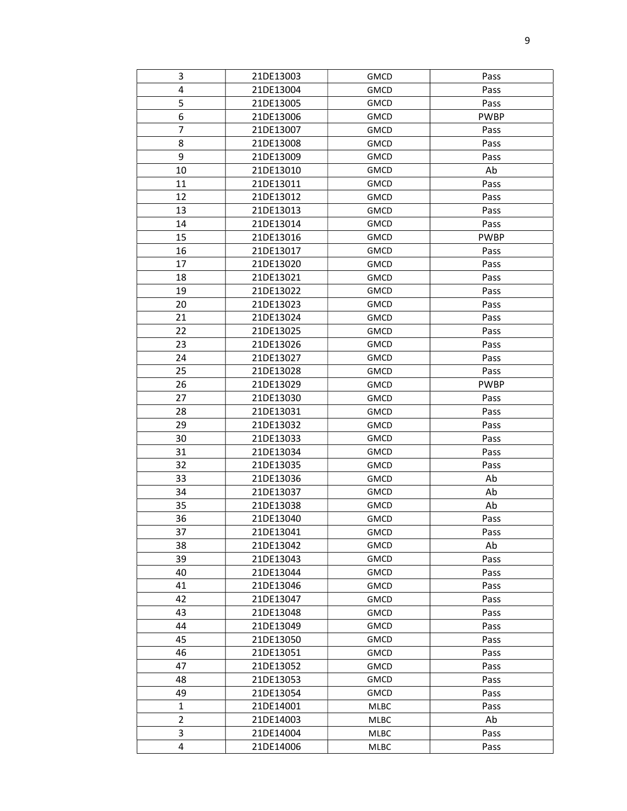| 3              | 21DE13003 | <b>GMCD</b> | Pass        |
|----------------|-----------|-------------|-------------|
| 4              | 21DE13004 | <b>GMCD</b> | Pass        |
| 5              | 21DE13005 | <b>GMCD</b> | Pass        |
| 6              | 21DE13006 | <b>GMCD</b> | <b>PWBP</b> |
| 7              | 21DE13007 | <b>GMCD</b> | Pass        |
| 8              | 21DE13008 | <b>GMCD</b> | Pass        |
| 9              | 21DE13009 | <b>GMCD</b> | Pass        |
| 10             | 21DE13010 | <b>GMCD</b> | Ab          |
| 11             | 21DE13011 | <b>GMCD</b> | Pass        |
| 12             | 21DE13012 | <b>GMCD</b> | Pass        |
| 13             | 21DE13013 | <b>GMCD</b> | Pass        |
| 14             | 21DE13014 | <b>GMCD</b> | Pass        |
| 15             | 21DE13016 | <b>GMCD</b> | <b>PWBP</b> |
| 16             | 21DE13017 | <b>GMCD</b> | Pass        |
| 17             | 21DE13020 | <b>GMCD</b> | Pass        |
| 18             | 21DE13021 | <b>GMCD</b> | Pass        |
| 19             | 21DE13022 | <b>GMCD</b> | Pass        |
| 20             | 21DE13023 | <b>GMCD</b> | Pass        |
| 21             | 21DE13024 | <b>GMCD</b> | Pass        |
| 22             | 21DE13025 | <b>GMCD</b> | Pass        |
| 23             | 21DE13026 | <b>GMCD</b> | Pass        |
| 24             | 21DE13027 | <b>GMCD</b> | Pass        |
| 25             | 21DE13028 | <b>GMCD</b> | Pass        |
| 26             | 21DE13029 | <b>GMCD</b> | <b>PWBP</b> |
| 27             | 21DE13030 | <b>GMCD</b> | Pass        |
| 28             | 21DE13031 | <b>GMCD</b> | Pass        |
| 29             | 21DE13032 | <b>GMCD</b> | Pass        |
| 30             | 21DE13033 | <b>GMCD</b> | Pass        |
| 31             | 21DE13034 | <b>GMCD</b> | Pass        |
| 32             | 21DE13035 | <b>GMCD</b> | Pass        |
| 33             | 21DE13036 | <b>GMCD</b> | Ab          |
| 34             | 21DE13037 | <b>GMCD</b> | Ab          |
| 35             | 21DE13038 | <b>GMCD</b> | Ab          |
| 36             | 21DE13040 | <b>GMCD</b> | Pass        |
| 37             | 21DE13041 | <b>GMCD</b> | Pass        |
| 38             | 21DE13042 | <b>GMCD</b> | Ab          |
| 39             | 21DE13043 | <b>GMCD</b> | Pass        |
| 40             | 21DE13044 | <b>GMCD</b> | Pass        |
| 41             | 21DE13046 | <b>GMCD</b> | Pass        |
| 42             | 21DE13047 | <b>GMCD</b> | Pass        |
| 43             | 21DE13048 | <b>GMCD</b> | Pass        |
| 44             | 21DE13049 | <b>GMCD</b> | Pass        |
| 45             | 21DE13050 | <b>GMCD</b> | Pass        |
| 46             | 21DE13051 | <b>GMCD</b> | Pass        |
| 47             | 21DE13052 | <b>GMCD</b> | Pass        |
| 48             | 21DE13053 | <b>GMCD</b> | Pass        |
| 49             | 21DE13054 | <b>GMCD</b> | Pass        |
| $\mathbf{1}$   | 21DE14001 | MLBC        | Pass        |
| $\overline{2}$ | 21DE14003 | MLBC        | Ab          |
| 3              | 21DE14004 | MLBC        | Pass        |
| $\overline{4}$ | 21DE14006 | MLBC        | Pass        |
|                |           |             |             |